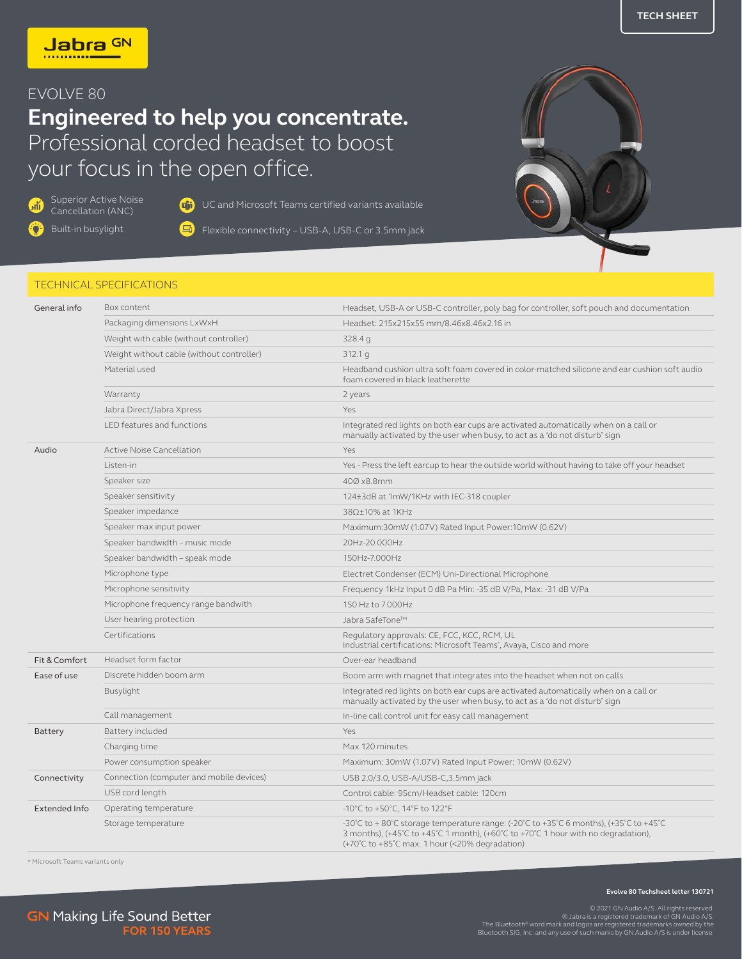## EVOLVE 80

## **Engineered to help you concentrate.** Professional corded headset to boost your focus in the open office.

**A** 

Superior Active Noise<br>Cancellation (ANC)

G<sub>1</sub>) UC and Microsoft Teams certified variants available

Ö

Built-in busylight  $\boxed{-1}$  Flexible connectivity – USB-A, USB-C or 3.5mm jack

## TECHNICAL SPECIFICATIONS

| General info  | Box content                               | Headset, USB-A or USB-C controller, poly bag for controller, soft pouch and documentation                                                                                                                                                                                                        |  |
|---------------|-------------------------------------------|--------------------------------------------------------------------------------------------------------------------------------------------------------------------------------------------------------------------------------------------------------------------------------------------------|--|
|               | Packaging dimensions LxWxH                | Headset: 215x215x55 mm/8.46x8.46x2.16 in                                                                                                                                                                                                                                                         |  |
|               | Weight with cable (without controller)    | 328.4 g                                                                                                                                                                                                                                                                                          |  |
|               | Weight without cable (without controller) | 312.1 g                                                                                                                                                                                                                                                                                          |  |
|               | Material used                             | Headband cushion ultra soft foam covered in color-matched silicone and ear cushion soft audio<br>foam covered in black leatherette                                                                                                                                                               |  |
|               | Warranty                                  | 2 years                                                                                                                                                                                                                                                                                          |  |
|               | Jabra Direct/Jabra Xpress                 | Yes                                                                                                                                                                                                                                                                                              |  |
|               | LED features and functions                | Integrated red lights on both ear cups are activated automatically when on a call or<br>manually activated by the user when busy, to act as a 'do not disturb' sign                                                                                                                              |  |
| Audio         | <b>Active Noise Cancellation</b>          | Yes                                                                                                                                                                                                                                                                                              |  |
|               | Listen-in                                 | Yes - Press the left earcup to hear the outside world without having to take off your headset                                                                                                                                                                                                    |  |
|               | Speaker size                              | 400 x8.8mm                                                                                                                                                                                                                                                                                       |  |
|               | Speaker sensitivity                       | 124±3dB at 1mW/1KHz with IEC-318 coupler                                                                                                                                                                                                                                                         |  |
|               | Speaker impedance                         | 38Ω±10% at 1KHz                                                                                                                                                                                                                                                                                  |  |
|               | Speaker max input power                   | Maximum:30mW (1.07V) Rated Input Power:10mW (0.62V)                                                                                                                                                                                                                                              |  |
|               | Speaker bandwidth - music mode            | 20Hz-20.000Hz                                                                                                                                                                                                                                                                                    |  |
|               | Speaker bandwidth - speak mode            | 150Hz-7.000Hz                                                                                                                                                                                                                                                                                    |  |
|               | Microphone type                           | Electret Condenser (ECM) Uni-Directional Microphone                                                                                                                                                                                                                                              |  |
|               | Microphone sensitivity                    | Frequency 1kHz Input 0 dB Pa Min: -35 dB V/Pa, Max: -31 dB V/Pa                                                                                                                                                                                                                                  |  |
|               | Microphone frequency range bandwith       | 150 Hz to 7.000Hz                                                                                                                                                                                                                                                                                |  |
|               | User hearing protection                   | Jabra SafeTone™                                                                                                                                                                                                                                                                                  |  |
|               | Certifications                            | Regulatory approvals: CE, FCC, KCC, RCM, UL<br>Industrial certifications: Microsoft Teams <sup>*</sup> , Avaya, Cisco and more                                                                                                                                                                   |  |
| Fit & Comfort | Headset form factor                       | Over-ear headband                                                                                                                                                                                                                                                                                |  |
| Ease of use   | Discrete hidden boom arm                  | Boom arm with magnet that integrates into the headset when not on calls                                                                                                                                                                                                                          |  |
|               | Busylight                                 | Integrated red lights on both ear cups are activated automatically when on a call or<br>manually activated by the user when busy, to act as a 'do not disturb' sign                                                                                                                              |  |
|               | Call management                           | In-line call control unit for easy call management                                                                                                                                                                                                                                               |  |
| Battery       | Battery included                          | Yes                                                                                                                                                                                                                                                                                              |  |
|               | Charging time                             | Max 120 minutes                                                                                                                                                                                                                                                                                  |  |
|               | Power consumption speaker                 | Maximum: 30mW (1.07V) Rated Input Power: 10mW (0.62V)                                                                                                                                                                                                                                            |  |
| Connectivity  | Connection (computer and mobile devices)  | USB 2.0/3.0, USB-A/USB-C, 3.5mm jack                                                                                                                                                                                                                                                             |  |
|               | USB cord length                           | Control cable: 95cm/Headset cable: 120cm                                                                                                                                                                                                                                                         |  |
| Extended Info | Operating temperature                     | -10°C to +50°C, 14°F to 122°F                                                                                                                                                                                                                                                                    |  |
|               | Storage temperature                       | -30°C to + 80°C storage temperature range: (-20°C to +35°C 6 months), (+35°C to +45°C<br>3 months), $(+45^{\circ}C \text{ to } +45^{\circ}C \text{ 1 month})$ , $(+60^{\circ}C \text{ to } +70^{\circ}C \text{ 1 hour with no degradation})$ ,<br>(+70°C to +85°C max. 1 hour (<20% degradation) |  |

\* Microsoft Teams variants only



**Evolve 80 Techsheet letter 130721**

D2021 GN Audio A/S. All rights reserved@<br>.0.9.1bra is a registered trademark of GN Audio A/S<br>.The Bluetooth®word mark and logos are registered trademarks owned by the<br>.Bluetooth SIG, Inc. and any use of such marks by GN Au